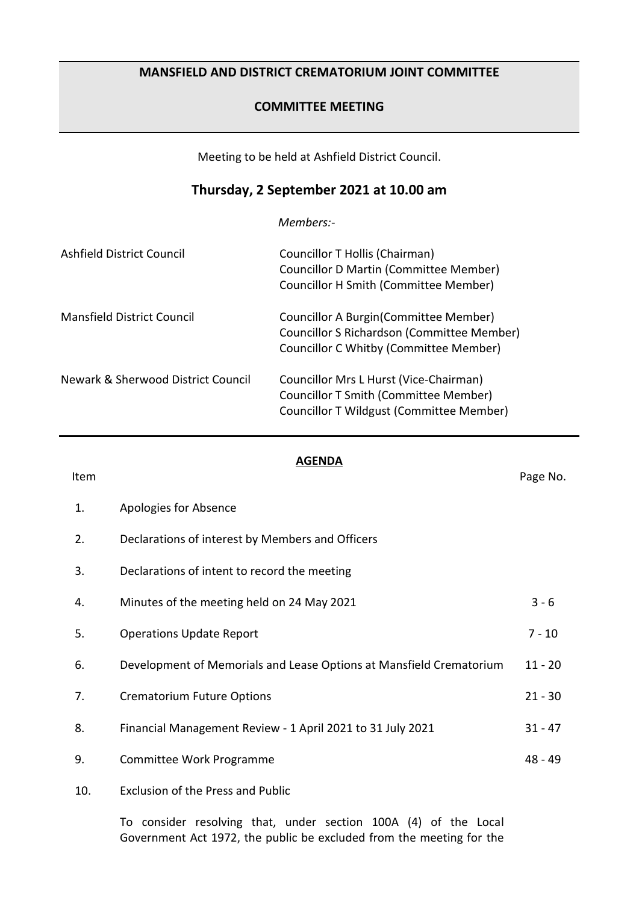## **MANSFIELD AND DISTRICT CREMATORIUM JOINT COMMITTEE**

## **COMMITTEE MEETING**

Meeting to be held at Ashfield District Council.

## **Thursday, 2 September 2021 at 10.00 am**

*Members:-*

| Ashfield District Council          | Councillor T Hollis (Chairman)<br><b>Councillor D Martin (Committee Member)</b><br>Councillor H Smith (Committee Member)           |
|------------------------------------|------------------------------------------------------------------------------------------------------------------------------------|
| Mansfield District Council         | Councillor A Burgin (Committee Member)<br>Councillor S Richardson (Committee Member)<br>Councillor C Whitby (Committee Member)     |
| Newark & Sherwood District Council | Councillor Mrs L Hurst (Vice-Chairman)<br><b>Councillor T Smith (Committee Member)</b><br>Councillor T Wildgust (Committee Member) |

## **AGENDA**

Item **Internal Contract of the Contract Contract Contract Contract Contract Contract Contract Contract Contract Contract Contract Contract Contract Contract Contract Contract Contract Contract Contract Contract Contract Co** 

- 1. Apologies for Absence
- 2. Declarations of interest by Members and Officers
- 3. Declarations of intent to record the meeting
- 4. Minutes of the meeting held on 24 May 2021 3 6 5. Operations Update Report 7 - 10 6. Development of Memorials and Lease Options at Mansfield Crematorium 11 - 20 7. Crematorium Future Options 21 - 30
- 8. Financial Management Review 1 April 2021 to 31 July 2021 31 47
- 9. Committee Work Programme **1896** and 1894 and 1895
- 10. Exclusion of the Press and Public

To consider resolving that, under section 100A (4) of the Local Government Act 1972, the public be excluded from the meeting for the